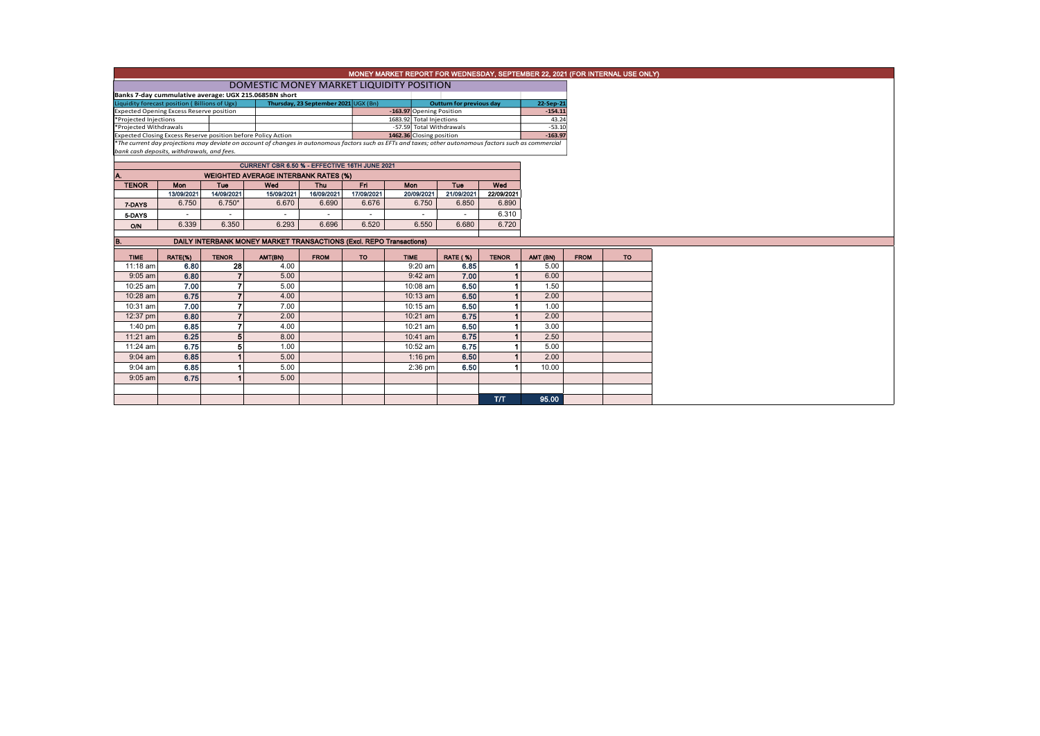|                                                                                                                                                                                                                                                       | MONEY MARKET REPORT FOR WEDNESDAY, SEPTEMBER 22, 2021 (FOR INTERNAL USE ONLY)<br>DOMESTIC MONEY MARKET LIQUIDITY POSITION |                |                                             |             |            |                          |                          |              |                   |             |           |  |
|-------------------------------------------------------------------------------------------------------------------------------------------------------------------------------------------------------------------------------------------------------|---------------------------------------------------------------------------------------------------------------------------|----------------|---------------------------------------------|-------------|------------|--------------------------|--------------------------|--------------|-------------------|-------------|-----------|--|
|                                                                                                                                                                                                                                                       |                                                                                                                           |                |                                             |             |            |                          |                          |              |                   |             |           |  |
| Banks 7-day cummulative average: UGX 215.0685BN short<br>Liquidity forecast position (Billions of Ugx)<br>Thursday, 23 September 2021 UGX (Bn)<br><b>Outturn for previous day</b>                                                                     |                                                                                                                           |                |                                             |             |            |                          |                          |              |                   | 22-Sep-21   |           |  |
| <b>Expected Opening Excess Reserve position</b>                                                                                                                                                                                                       |                                                                                                                           |                |                                             |             |            |                          | -163.97 Opening Position |              |                   | $-154.11$   |           |  |
| *Projected Injections                                                                                                                                                                                                                                 |                                                                                                                           |                |                                             |             |            | 1683.92 Total Injections |                          |              | 43.24<br>$-53.10$ |             |           |  |
| *Projected Withdrawals                                                                                                                                                                                                                                |                                                                                                                           |                |                                             |             |            |                          | -57.59 Total Withdrawals |              |                   |             |           |  |
| Expected Closing Excess Reserve position before Policy Action<br>1462.36 Closing position<br>*The current day projections may deviate on account of changes in autonomous factors such as EFTs and taxes; other autonomous factors such as commercial |                                                                                                                           |                |                                             |             |            |                          |                          |              | $-163.97$         |             |           |  |
| bank cash deposits, withdrawals, and fees.                                                                                                                                                                                                            |                                                                                                                           |                |                                             |             |            |                          |                          |              |                   |             |           |  |
|                                                                                                                                                                                                                                                       |                                                                                                                           |                |                                             |             |            |                          |                          |              |                   |             |           |  |
|                                                                                                                                                                                                                                                       |                                                                                                                           |                | <b>WEIGHTED AVERAGE INTERBANK RATES (%)</b> |             |            |                          |                          |              |                   |             |           |  |
| <b>TENOR</b>                                                                                                                                                                                                                                          | Mon                                                                                                                       | Tue            | Wed                                         | Thu         | Fn.        | <b>Mon</b>               | Tue                      | Wed          |                   |             |           |  |
|                                                                                                                                                                                                                                                       | 13/09/2021                                                                                                                | 14/09/2021     | 15/09/2021                                  | 16/09/2021  | 17/09/2021 | 20/09/2021               | 21/09/2021               | 22/09/2021   |                   |             |           |  |
| 7-DAYS                                                                                                                                                                                                                                                | 6.750                                                                                                                     | $6.750*$       | 6.670                                       | 6.690       | 6.676      | 6.750                    | 6.850                    | 6.890        |                   |             |           |  |
| 5-DAYS                                                                                                                                                                                                                                                | $\sim$                                                                                                                    | $\sim$         |                                             |             |            | $\overline{\phantom{a}}$ | $\sim$                   | 6.310        |                   |             |           |  |
| O/N                                                                                                                                                                                                                                                   | 6.339                                                                                                                     | 6.350          | 6.293                                       | 6.696       | 6.520      | 6.550                    | 6.680                    | 6.720        |                   |             |           |  |
|                                                                                                                                                                                                                                                       | DAILY INTERBANK MONEY MARKET TRANSACTIONS (Excl. REPO Transactions)                                                       |                |                                             |             |            |                          |                          |              |                   |             |           |  |
| в.                                                                                                                                                                                                                                                    |                                                                                                                           |                |                                             |             |            |                          |                          |              |                   |             |           |  |
| <b>TIME</b>                                                                                                                                                                                                                                           | RATE(%)                                                                                                                   | <b>TENOR</b>   | AMT(BN)                                     | <b>FROM</b> | <b>TO</b>  | <b>TIME</b>              | <b>RATE (%)</b>          | <b>TENOR</b> | AMT (BN)          | <b>FROM</b> | <b>TO</b> |  |
| 11:18 am                                                                                                                                                                                                                                              | 6.80                                                                                                                      | 28             | 4.00                                        |             |            | 9:20 am                  | 6.85                     |              | 5.00              |             |           |  |
| $9:05$ am                                                                                                                                                                                                                                             | 6.80                                                                                                                      | $\overline{7}$ | 5.00                                        |             |            | $9:42$ am                | 7.00                     |              | 6.00              |             |           |  |
| 10:25 am                                                                                                                                                                                                                                              | 7.00                                                                                                                      | $\overline{7}$ | 5.00                                        |             |            | 10:08 am                 | 6.50                     |              | 1.50              |             |           |  |
| 10:28 am                                                                                                                                                                                                                                              | 6.75                                                                                                                      | $\overline{7}$ | 4.00                                        |             |            | $10:13$ am               | 6.50                     |              | 2.00              |             |           |  |
| 10:31 am                                                                                                                                                                                                                                              | 7.00                                                                                                                      | $\overline{7}$ | 7.00                                        |             |            | 10:15 am                 | 6.50                     |              | 1.00              |             |           |  |
| 12:37 pm                                                                                                                                                                                                                                              | 6.80                                                                                                                      | $\overline{7}$ | 2.00                                        |             |            | 10:21 am                 | 6.75                     |              | 2.00              |             |           |  |
| 1:40 pm                                                                                                                                                                                                                                               | 6.85                                                                                                                      | $\overline{ }$ | 4.00                                        |             |            | 10:21 am                 | 6.50                     |              | 3.00              |             |           |  |
| 11:21 am                                                                                                                                                                                                                                              | 6.25                                                                                                                      | 5              | 8.00                                        |             |            | 10:41 am                 | 6.75                     |              | 2.50              |             |           |  |
| 11:24 am                                                                                                                                                                                                                                              | 6.75                                                                                                                      | 5              | 1.00                                        |             |            | 10:52 am                 | 6.75                     |              | 5.00              |             |           |  |
| $9:04$ am                                                                                                                                                                                                                                             | 6.85                                                                                                                      |                | 5.00                                        |             |            | $1:16$ pm                | 6.50                     |              | 2.00              |             |           |  |
| 9:04 am                                                                                                                                                                                                                                               | 6.85                                                                                                                      |                | 5.00                                        |             |            | $2:36$ pm                | 6.50                     |              | 10.00             |             |           |  |
| $9:05$ am                                                                                                                                                                                                                                             | 6.75                                                                                                                      |                | 5.00                                        |             |            |                          |                          |              |                   |             |           |  |
|                                                                                                                                                                                                                                                       |                                                                                                                           |                |                                             |             |            |                          |                          |              |                   |             |           |  |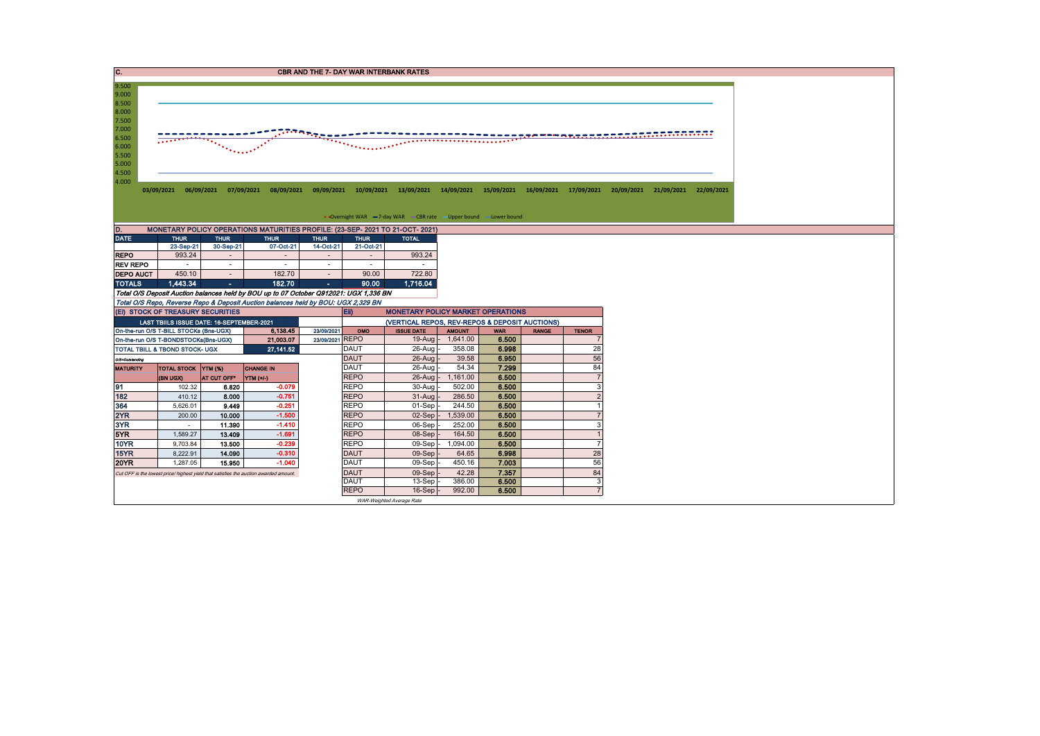| $\overline{\mathbf{C}}$ .                                                                                                  | <b>CBR AND THE 7- DAY WAR INTERBANK RATES</b> |                                           |                                                                                       |                                                                                                                                                                 |                            |                                                                   |                             |                |              |                      |  |  |  |
|----------------------------------------------------------------------------------------------------------------------------|-----------------------------------------------|-------------------------------------------|---------------------------------------------------------------------------------------|-----------------------------------------------------------------------------------------------------------------------------------------------------------------|----------------------------|-------------------------------------------------------------------|-----------------------------|----------------|--------------|----------------------|--|--|--|
| 9.500<br>9.000<br>8.500<br>8.000<br>7.500<br>7.000<br>ntanananan<br>6.500<br>6.000<br>the contr<br>5.500<br>5.000<br>4.500 |                                               |                                           |                                                                                       |                                                                                                                                                                 |                            |                                                                   |                             |                |              |                      |  |  |  |
| 4.000                                                                                                                      |                                               |                                           |                                                                                       | 03/09/2021 06/09/2021 07/09/2021 08/09/2021 09/09/2021 10/09/2021 13/09/2021 14/09/2021 15/09/2021 16/09/2021 17/09/2021 20/09/2021 21/09/2021 22/09/2021 22/09 |                            |                                                                   |                             |                |              |                      |  |  |  |
|                                                                                                                            |                                               |                                           |                                                                                       |                                                                                                                                                                 |                            |                                                                   |                             |                |              |                      |  |  |  |
|                                                                                                                            |                                               |                                           |                                                                                       |                                                                                                                                                                 |                            | • Overnight WAR -7-day WAR - CBR rate - Upper bound - Lower bound |                             |                |              |                      |  |  |  |
| D.                                                                                                                         |                                               |                                           |                                                                                       | MONETARY POLICY OPERATIONS MATURITIES PROFILE: (23-SEP- 2021 TO 21-OCT- 2021)                                                                                   |                            |                                                                   |                             |                |              |                      |  |  |  |
| <b>DATE</b>                                                                                                                | <b>THUR</b><br>23-Sep-21                      | <b>THUR</b><br>30-Sep-21                  | <b>THUR</b><br>07-Oct-21                                                              | <b>THUR</b><br>14-Oct-21                                                                                                                                        | <b>THUR</b><br>21-Oct-21   | <b>TOTAL</b>                                                      |                             |                |              |                      |  |  |  |
| <b>REPO</b>                                                                                                                | 993.24                                        |                                           | $\overline{a}$                                                                        | $\sim$                                                                                                                                                          | $\sim$                     | 993.24                                                            |                             |                |              |                      |  |  |  |
| <b>REV REPO</b>                                                                                                            | $\sim$                                        | $\sim$                                    | $\sim$                                                                                | $\sim$                                                                                                                                                          | $\sim$                     |                                                                   |                             |                |              |                      |  |  |  |
| <b>DEPO AUCT</b>                                                                                                           | 450.10                                        | $\sim$                                    | 182.70                                                                                | $\sim$                                                                                                                                                          | 90.00                      | 722.80                                                            |                             |                |              |                      |  |  |  |
| <b>TOTALS</b>                                                                                                              | 1.443.34                                      | $\sim$                                    | 182.70                                                                                | х.                                                                                                                                                              | 90.00                      | 1.716.04                                                          |                             |                |              |                      |  |  |  |
|                                                                                                                            |                                               |                                           |                                                                                       | Total O/S Deposit Auction balances held by BOU up to 07 October Q912021: UGX 1,336 BN                                                                           |                            |                                                                   |                             |                |              |                      |  |  |  |
|                                                                                                                            |                                               | (Ei) STOCK OF TREASURY SECURITIES         |                                                                                       | Total O/S Repo, Reverse Repo & Deposit Auction balances held by BOU: UGX 2,329 BN                                                                               | Eii)                       | <b>MONETARY POLICY MARKET OPERATIONS</b>                          |                             |                |              |                      |  |  |  |
|                                                                                                                            |                                               | LAST TBIILS ISSUE DATE: 16-SEPTEMBER-2021 |                                                                                       |                                                                                                                                                                 |                            | (VERTICAL REPOS, REV-REPOS & DEPOSIT AUCTIONS)                    |                             |                |              |                      |  |  |  |
|                                                                                                                            | On-the-run O/S T-BILL STOCKs (Bns-UGX)        |                                           | 6.138.45                                                                              | 23/09/2021                                                                                                                                                      | OMO                        | <b>ISSUE DATE</b>                                                 | <b>AMOUNT</b>               | <b>WAR</b>     | <b>RANGE</b> | <b>TENOR</b>         |  |  |  |
|                                                                                                                            | On-the-run O/S T-BONDSTOCKs(Bns-UGX)          |                                           | 21,003.07                                                                             | 23/09/2021 REPO                                                                                                                                                 |                            | $19-Auq$                                                          | 1,641.00                    | 6.500          |              |                      |  |  |  |
|                                                                                                                            | TOTAL TBILL & TBOND STOCK- UGX                |                                           | 27, 141.52                                                                            |                                                                                                                                                                 | <b>DAUT</b>                | 26-Aug                                                            | 358.08                      | 6.998          |              | 28                   |  |  |  |
| 0/3=Outstanding                                                                                                            |                                               |                                           |                                                                                       |                                                                                                                                                                 | <b>DAUT</b>                | 26-Aug                                                            | 39.58                       | 6.950          |              | 56                   |  |  |  |
| <b>MATURITY</b>                                                                                                            | TOTAL STOCK YTM (%)                           |                                           | <b>CHANGE IN</b>                                                                      |                                                                                                                                                                 | DAUT                       | 26-Aug                                                            | 54.34                       | 7.299          |              | 84<br>$\overline{7}$ |  |  |  |
| 91                                                                                                                         | (BN UGX)<br>102.32                            | AT CUT OFF*<br>6.820                      | VTM(V)<br>$-0.079$                                                                    |                                                                                                                                                                 | <b>REPO</b><br><b>REPO</b> | 30-Aug                                                            | 26-Aug - 1,161.00<br>502.00 | 6.500<br>6.500 |              | 3                    |  |  |  |
| 182                                                                                                                        | 410.12                                        | 8.000                                     | $-0.751$                                                                              |                                                                                                                                                                 | <b>REPO</b>                | 31-Aug                                                            | 286.50                      | 6.500          |              | $\overline{2}$       |  |  |  |
| 364                                                                                                                        | 5.626.01                                      | 9.449                                     | $-0.251$                                                                              |                                                                                                                                                                 | <b>REPO</b>                | 01-Sep                                                            | 244.50                      | 6.500          |              | $\overline{1}$       |  |  |  |
| 2YR                                                                                                                        | 200.00                                        | 10.000                                    | $-1.500$                                                                              |                                                                                                                                                                 | <b>REPO</b>                | $02-Sep$                                                          | 1,539.00                    | 6.500          |              |                      |  |  |  |
| 3YR                                                                                                                        | $\sim$                                        | 11.390                                    | $-1.410$                                                                              |                                                                                                                                                                 | <b>REPO</b>                | 06-Sep                                                            | 252.00                      | 6.500          |              | 3                    |  |  |  |
| 5YR                                                                                                                        | 1,589.27                                      | 13,409                                    | $-1.691$                                                                              |                                                                                                                                                                 | <b>REPO</b>                | 08-Sep                                                            | 164.50                      | 6.500          |              | $\overline{1}$       |  |  |  |
| 10YR                                                                                                                       | 9,703.84                                      | 13.500                                    | $-0.239$                                                                              |                                                                                                                                                                 | <b>REPO</b>                | $09-Sep$                                                          | 1,094.00                    | 6.500          |              | $\overline{7}$       |  |  |  |
| 15YR<br><b>20YR</b>                                                                                                        | 8.222.91<br>1.287.05                          | 14.090<br>15.950                          | $-0.310$<br>$-1.040$                                                                  |                                                                                                                                                                 | <b>DAUT</b><br><b>DAUT</b> | 09-Sep<br>$09-Sep$                                                | 64.65<br>450.16             | 6.998<br>7.003 |              | 28<br>56             |  |  |  |
|                                                                                                                            |                                               |                                           | Cut OFF is the lowest price/ highest yield that satisfies the auction awarded amount. |                                                                                                                                                                 | <b>DAUT</b>                | 09-Sep                                                            | 42.28                       | 7.357          |              | 84                   |  |  |  |
|                                                                                                                            |                                               |                                           |                                                                                       |                                                                                                                                                                 | <b>DAUT</b>                | 13-Sep                                                            | 386.00                      | 6.500          |              | 3                    |  |  |  |
|                                                                                                                            |                                               |                                           |                                                                                       |                                                                                                                                                                 | <b>REPO</b>                | 16-Sep                                                            | 992.00                      | 6.500          |              | $\overline{7}$       |  |  |  |
|                                                                                                                            |                                               |                                           |                                                                                       |                                                                                                                                                                 |                            | WAR-Weighted Average Rate                                         |                             |                |              |                      |  |  |  |